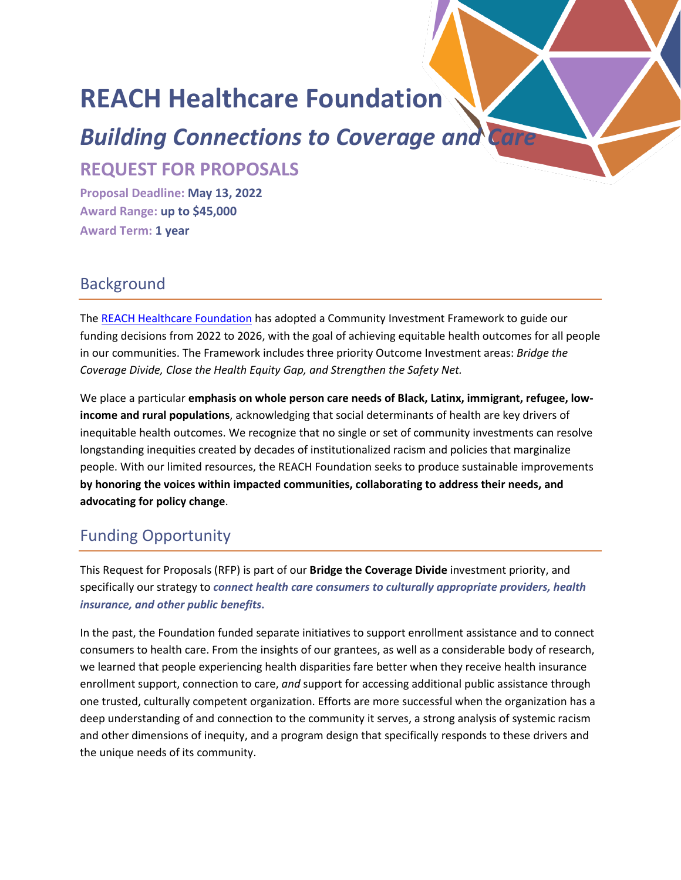# **REACH Healthcare Foundation**

# *Building Connections to Coverage and Care*

**REQUEST FOR PROPOSALS**

**Proposal Deadline: May 13, 2022 Award Range: up to \$45,000 Award Term: 1 year**

#### **Background**

The [REACH Healthcare Foundation](https://reachhealth.org/) has adopted a Community Investment Framework to guide our funding decisions from 2022 to 2026, with the goal of achieving equitable health outcomes for all people in our communities. The Framework includes three priority Outcome Investment areas: *Bridge the Coverage Divide, Close the Health Equity Gap, and Strengthen the Safety Net.*

We place a particular **emphasis on whole person care needs of Black, Latinx, immigrant, refugee, lowincome and rural populations**, acknowledging that social determinants of health are key drivers of inequitable health outcomes. We recognize that no single or set of community investments can resolve longstanding inequities created by decades of institutionalized racism and policies that marginalize people. With our limited resources, the REACH Foundation seeks to produce sustainable improvements **by honoring the voices within impacted communities, collaborating to address their needs, and advocating for policy change**.

# Funding Opportunity

This Request for Proposals (RFP) is part of our **Bridge the Coverage Divide** investment priority, and specifically our strategy to *connect health care consumers to culturally appropriate providers, health insurance, and other public benefits***.** 

In the past, the Foundation funded separate initiatives to support enrollment assistance and to connect consumers to health care. From the insights of our grantees, as well as a considerable body of research, we learned that people experiencing health disparities fare better when they receive health insurance enrollment support, connection to care, *and* support for accessing additional public assistance through one trusted, culturally competent organization. Efforts are more successful when the organization has a deep understanding of and connection to the community it serves, a strong analysis of systemic racism and other dimensions of inequity, and a program design that specifically responds to these drivers and the unique needs of its community.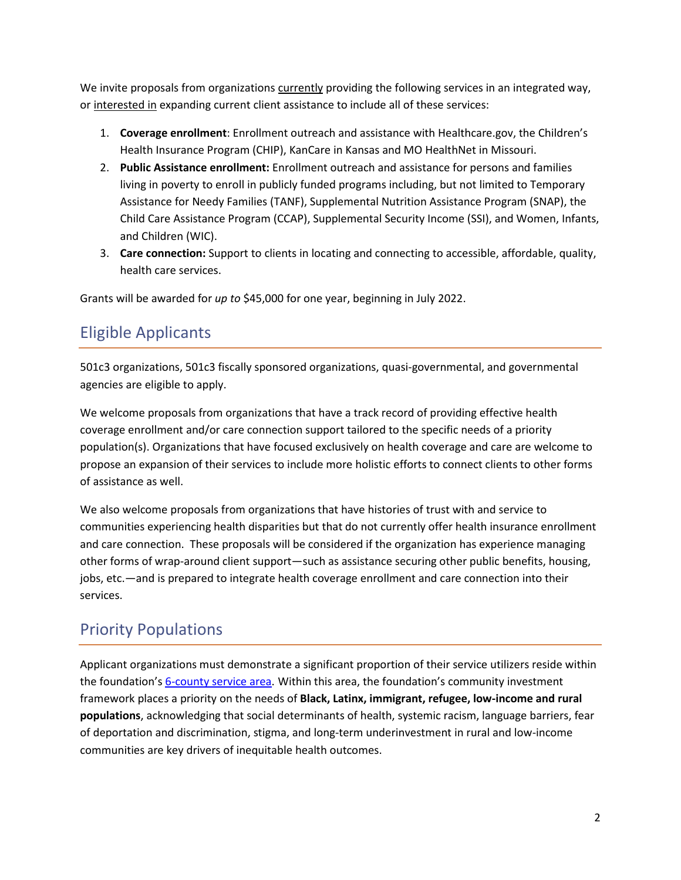We invite proposals from organizations currently providing the following services in an integrated way, or interested in expanding current client assistance to include all of these services:

- 1. **Coverage enrollment**: Enrollment outreach and assistance with Healthcare.gov, the Children's Health Insurance Program (CHIP), KanCare in Kansas and MO HealthNet in Missouri.
- 2. **Public Assistance enrollment:** Enrollment outreach and assistance for persons and families living in poverty to enroll in publicly funded programs including, but not limited to Temporary Assistance for Needy Families (TANF), Supplemental Nutrition Assistance Program (SNAP), the Child Care Assistance Program (CCAP), Supplemental Security Income (SSI), and Women, Infants, and Children (WIC).
- 3. **Care connection:** Support to clients in locating and connecting to accessible, affordable, quality, health care services.

Grants will be awarded for *up to* \$45,000 for one year, beginning in July 2022.

# Eligible Applicants

501c3 organizations, 501c3 fiscally sponsored organizations, quasi-governmental, and governmental agencies are eligible to apply.

We welcome proposals from organizations that have a track record of providing effective health coverage enrollment and/or care connection support tailored to the specific needs of a priority population(s). Organizations that have focused exclusively on health coverage and care are welcome to propose an expansion of their services to include more holistic efforts to connect clients to other forms of assistance as well.

We also welcome proposals from organizations that have histories of trust with and service to communities experiencing health disparities but that do not currently offer health insurance enrollment and care connection. These proposals will be considered if the organization has experience managing other forms of wrap-around client support—such as assistance securing other public benefits, housing, jobs, etc.—and is prepared to integrate health coverage enrollment and care connection into their services.

## Priority Populations

Applicant organizations must demonstrate a significant proportion of their service utilizers reside within the foundation'[s 6-county service area.](https://reachhealth.org/for-grant-seekers/) Within this area, the foundation's community investment framework places a priority on the needs of **Black, Latinx, immigrant, refugee, low-income and rural populations**, acknowledging that social determinants of health, systemic racism, language barriers, fear of deportation and discrimination, stigma, and long-term underinvestment in rural and low-income communities are key drivers of inequitable health outcomes.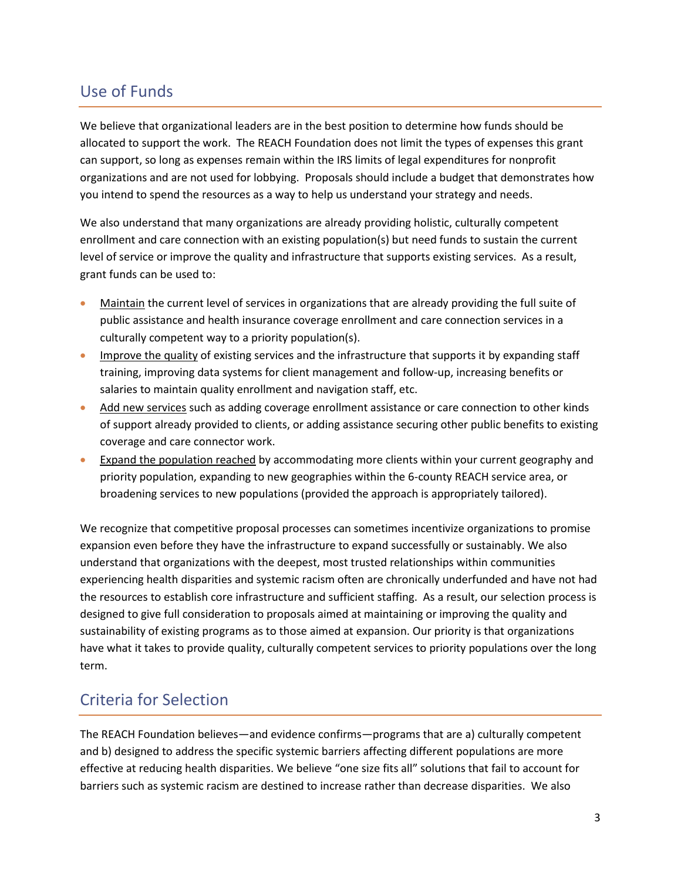## Use of Funds

We believe that organizational leaders are in the best position to determine how funds should be allocated to support the work. The REACH Foundation does not limit the types of expenses this grant can support, so long as expenses remain within the IRS limits of legal expenditures for nonprofit organizations and are not used for lobbying. Proposals should include a budget that demonstrates how you intend to spend the resources as a way to help us understand your strategy and needs.

We also understand that many organizations are already providing holistic, culturally competent enrollment and care connection with an existing population(s) but need funds to sustain the current level of service or improve the quality and infrastructure that supports existing services. As a result, grant funds can be used to:

- Maintain the current level of services in organizations that are already providing the full suite of public assistance and health insurance coverage enrollment and care connection services in a culturally competent way to a priority population(s).
- Improve the quality of existing services and the infrastructure that supports it by expanding staff training, improving data systems for client management and follow-up, increasing benefits or salaries to maintain quality enrollment and navigation staff, etc.
- Add new services such as adding coverage enrollment assistance or care connection to other kinds of support already provided to clients, or adding assistance securing other public benefits to existing coverage and care connector work.
- Expand the population reached by accommodating more clients within your current geography and priority population, expanding to new geographies within the 6-county REACH service area, or broadening services to new populations (provided the approach is appropriately tailored).

We recognize that competitive proposal processes can sometimes incentivize organizations to promise expansion even before they have the infrastructure to expand successfully or sustainably. We also understand that organizations with the deepest, most trusted relationships within communities experiencing health disparities and systemic racism often are chronically underfunded and have not had the resources to establish core infrastructure and sufficient staffing. As a result, our selection process is designed to give full consideration to proposals aimed at maintaining or improving the quality and sustainability of existing programs as to those aimed at expansion. Our priority is that organizations have what it takes to provide quality, culturally competent services to priority populations over the long term.

#### Criteria for Selection

The REACH Foundation believes—and evidence confirms—programs that are a) culturally competent and b) designed to address the specific systemic barriers affecting different populations are more effective at reducing health disparities. We believe "one size fits all" solutions that fail to account for barriers such as systemic racism are destined to increase rather than decrease disparities. We also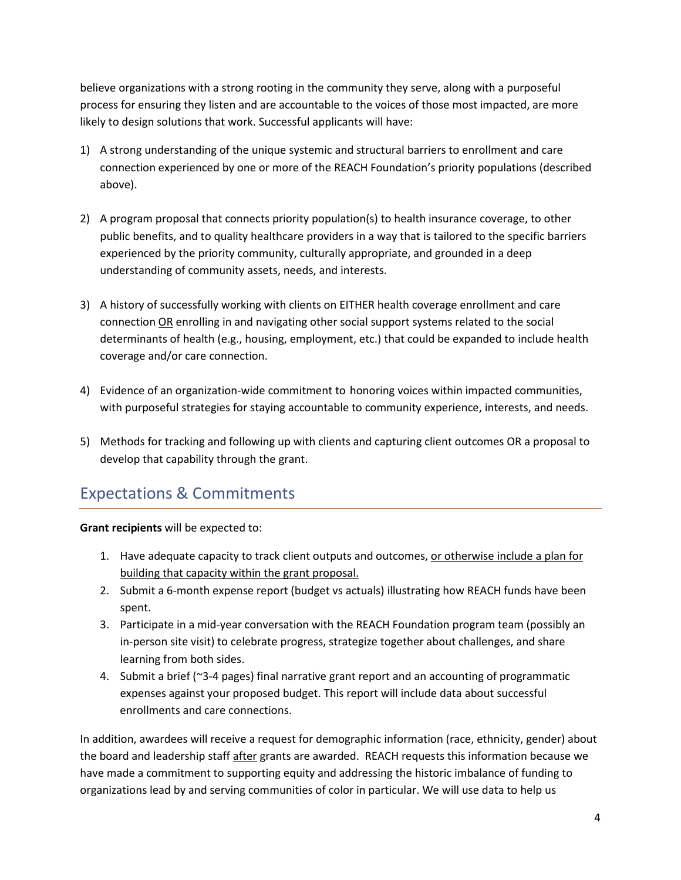believe organizations with a strong rooting in the community they serve, along with a purposeful process for ensuring they listen and are accountable to the voices of those most impacted, are more likely to design solutions that work. Successful applicants will have:

- 1) A strong understanding of the unique systemic and structural barriers to enrollment and care connection experienced by one or more of the REACH Foundation's priority populations (described above).
- 2) A program proposal that connects priority population(s) to health insurance coverage, to other public benefits, and to quality healthcare providers in a way that is tailored to the specific barriers experienced by the priority community, culturally appropriate, and grounded in a deep understanding of community assets, needs, and interests.
- 3) A history of successfully working with clients on EITHER health coverage enrollment and care connection OR enrolling in and navigating other social support systems related to the social determinants of health (e.g., housing, employment, etc.) that could be expanded to include health coverage and/or care connection.
- 4) Evidence of an organization-wide commitment to honoring voices within impacted communities, with purposeful strategies for staying accountable to community experience, interests, and needs.
- 5) Methods for tracking and following up with clients and capturing client outcomes OR a proposal to develop that capability through the grant.

# Expectations & Commitments

**Grant recipients** will be expected to:

- 1. Have adequate capacity to track client outputs and outcomes, or otherwise include a plan for building that capacity within the grant proposal.
- 2. Submit a 6-month expense report (budget vs actuals) illustrating how REACH funds have been spent.
- 3. Participate in a mid-year conversation with the REACH Foundation program team (possibly an in-person site visit) to celebrate progress, strategize together about challenges, and share learning from both sides.
- 4. Submit a brief (~3-4 pages) final narrative grant report and an accounting of programmatic expenses against your proposed budget. This report will include data about successful enrollments and care connections.

In addition, awardees will receive a request for demographic information (race, ethnicity, gender) about the board and leadership staff after grants are awarded. REACH requests this information because we have made a commitment to supporting equity and addressing the historic imbalance of funding to organizations lead by and serving communities of color in particular. We will use data to help us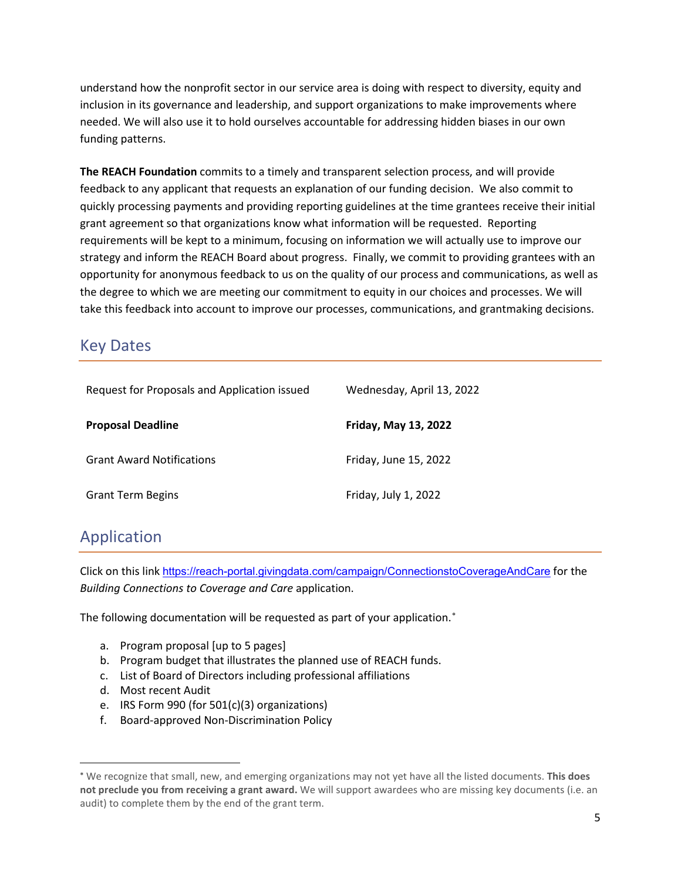understand how the nonprofit sector in our service area is doing with respect to diversity, equity and inclusion in its governance and leadership, and support organizations to make improvements where needed. We will also use it to hold ourselves accountable for addressing hidden biases in our own funding patterns.

**The REACH Foundation** commits to a timely and transparent selection process, and will provide feedback to any applicant that requests an explanation of our funding decision. We also commit to quickly processing payments and providing reporting guidelines at the time grantees receive their initial grant agreement so that organizations know what information will be requested. Reporting requirements will be kept to a minimum, focusing on information we will actually use to improve our strategy and inform the REACH Board about progress. Finally, we commit to providing grantees with an opportunity for anonymous feedback to us on the quality of our process and communications, as well as the degree to which we are meeting our commitment to equity in our choices and processes. We will take this feedback into account to improve our processes, communications, and grantmaking decisions.

#### Key Dates

| Request for Proposals and Application issued | Wednesday, April 13, 2022 |
|----------------------------------------------|---------------------------|
| <b>Proposal Deadline</b>                     | Friday, May 13, 2022      |
| <b>Grant Award Notifications</b>             | Friday, June 15, 2022     |
| <b>Grant Term Begins</b>                     | Friday, July 1, 2022      |

## Application

Click on this link <https://reach-portal.givingdata.com/campaign/ConnectionstoCoverageAndCare> for the *Building Connections to Coverage and Care* application.

The following documentation will be requested as part of your application.<sup>\*</sup>

- a. Program proposal [up to 5 pages]
- b. Program budget that illustrates the planned use of REACH funds.
- c. List of Board of Directors including professional affiliations
- d. Most recent Audit
- e. IRS Form 990 (for 501(c)(3) organizations)
- f. Board-approved Non-Discrimination Policy

<span id="page-4-0"></span><sup>∗</sup> We recognize that small, new, and emerging organizations may not yet have all the listed documents. **This does not preclude you from receiving a grant award.** We will support awardees who are missing key documents (i.e. an audit) to complete them by the end of the grant term.